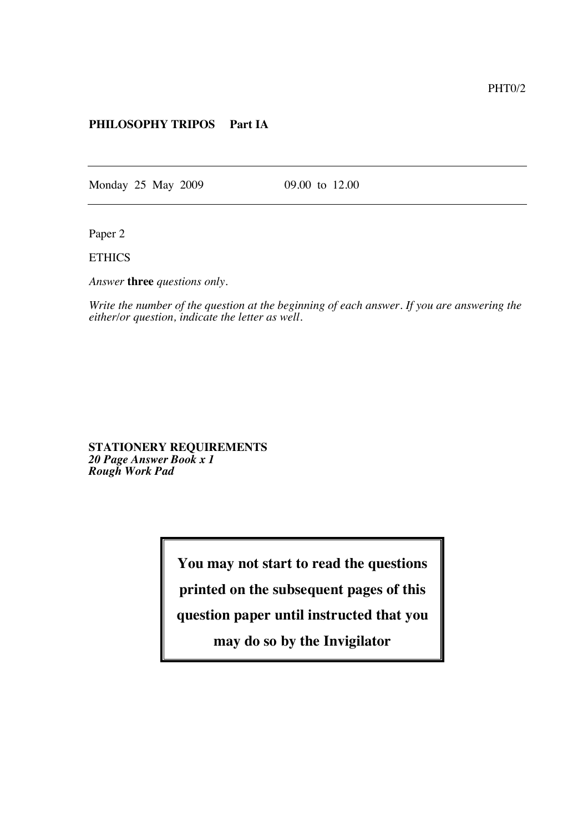## **PHILOSOPHY TRIPOS Part IA**

Monday 25 May 2009 09.00 to 12.00

Paper 2

**ETHICS** 

*Answer* **three** *questions only.*

*Write the number of the question at the beginning of each answer. If you are answering the either/or question, indicate the letter as well.*

**STATIONERY REQUIREMENTS** *20 Page Answer Book x 1 Rough Work Pad*

**You may not start to read the questions**

**printed on the subsequent pages of this**

**question paper until instructed that you**

**may do so by the Invigilator**